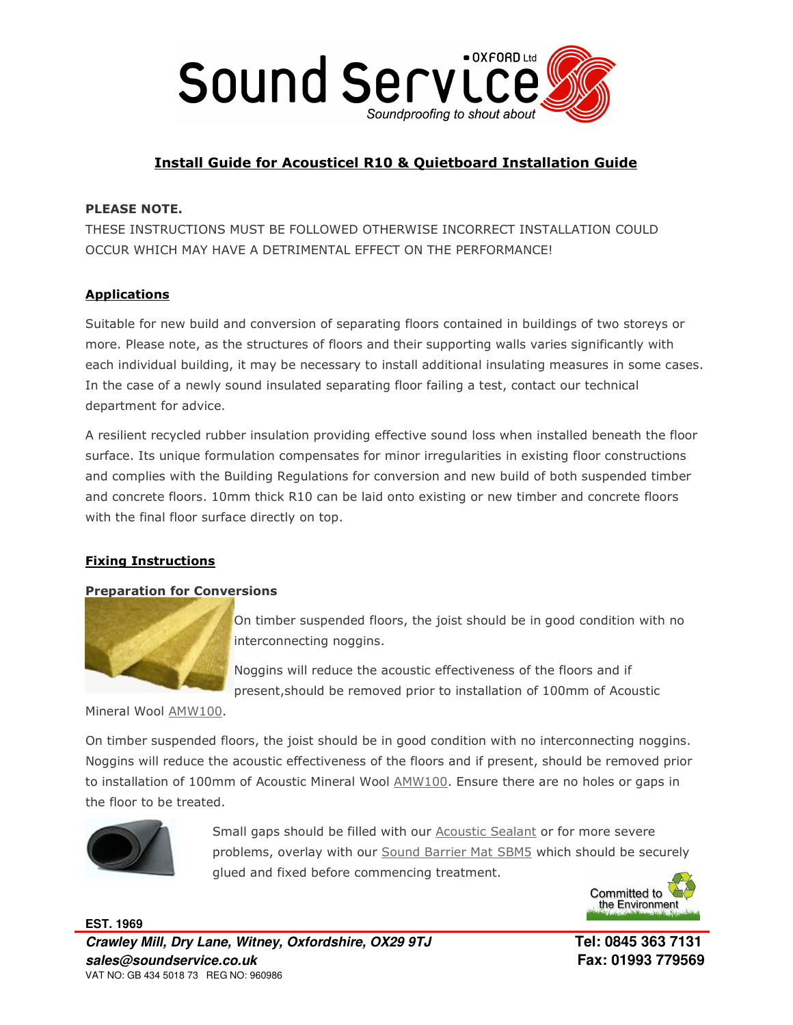

# Install Guide for Acousticel R10 & Quietboard Installation Guide

#### PLEASE NOTE.

THESE INSTRUCTIONS MUST BE FOLLOWED OTHERWISE INCORRECT INSTALLATION COULD OCCUR WHICH MAY HAVE A DETRIMENTAL EFFECT ON THE PERFORMANCE!

#### Applications

Suitable for new build and conversion of separating floors contained in buildings of two storeys or more. Please note, as the structures of floors and their supporting walls varies significantly with each individual building, it may be necessary to install additional insulating measures in some cases. In the case of a newly sound insulated separating floor failing a test, contact our technical department for advice.

A resilient recycled rubber insulation providing effective sound loss when installed beneath the floor surface. Its unique formulation compensates for minor irregularities in existing floor constructions and complies with the Building Regulations for conversion and new build of both suspended timber and concrete floors. 10mm thick R10 can be laid onto existing or new timber and concrete floors with the final floor surface directly on top.

#### Fixing Instructions

#### Preparation for Conversions



On timber suspended floors, the joist should be in good condition with no interconnecting noggins.

Noggins will reduce the acoustic effectiveness of the floors and if present,should be removed prior to installation of 100mm of Acoustic

Mineral Wool AMW100.

On timber suspended floors, the joist should be in good condition with no interconnecting noggins. Noggins will reduce the acoustic effectiveness of the floors and if present, should be removed prior to installation of 100mm of Acoustic Mineral Wool AMW100. Ensure there are no holes or gaps in the floor to be treated.



Small gaps should be filled with our **Acoustic Sealant** or for more severe problems, overlay with our Sound Barrier Mat SBM5 which should be securely glued and fixed before commencing treatment.

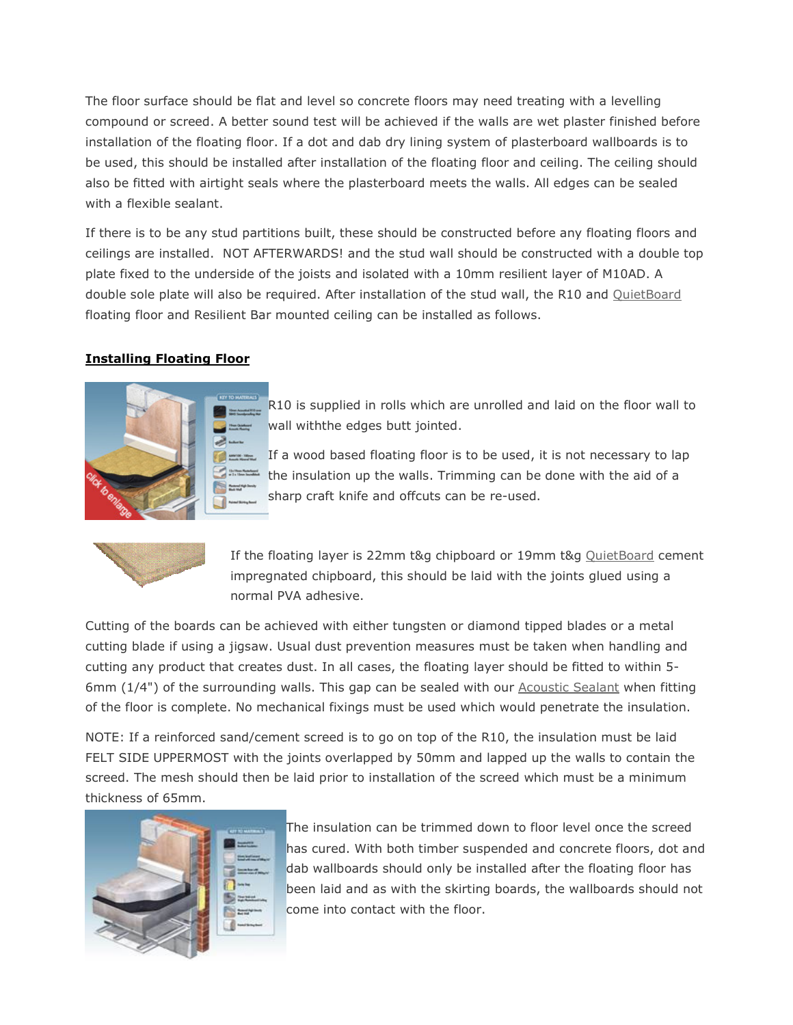The floor surface should be flat and level so concrete floors may need treating with a levelling compound or screed. A better sound test will be achieved if the walls are wet plaster finished before installation of the floating floor. If a dot and dab dry lining system of plasterboard wallboards is to be used, this should be installed after installation of the floating floor and ceiling. The ceiling should also be fitted with airtight seals where the plasterboard meets the walls. All edges can be sealed with a flexible sealant.

If there is to be any stud partitions built, these should be constructed before any floating floors and ceilings are installed. NOT AFTERWARDS! and the stud wall should be constructed with a double top plate fixed to the underside of the joists and isolated with a 10mm resilient layer of M10AD. A double sole plate will also be required. After installation of the stud wall, the R10 and QuietBoard floating floor and Resilient Bar mounted ceiling can be installed as follows.

### Installing Floating Floor



R10 is supplied in rolls which are unrolled and laid on the floor wall to wall withthe edges butt jointed.

If a wood based floating floor is to be used, it is not necessary to lap the insulation up the walls. Trimming can be done with the aid of a sharp craft knife and offcuts can be re-used.



If the floating layer is 22mm t&g chipboard or 19mm t&g QuietBoard cement impregnated chipboard, this should be laid with the joints glued using a normal PVA adhesive.

Cutting of the boards can be achieved with either tungsten or diamond tipped blades or a metal cutting blade if using a jigsaw. Usual dust prevention measures must be taken when handling and cutting any product that creates dust. In all cases, the floating layer should be fitted to within 5- 6mm (1/4") of the surrounding walls. This gap can be sealed with our Acoustic Sealant when fitting of the floor is complete. No mechanical fixings must be used which would penetrate the insulation.

NOTE: If a reinforced sand/cement screed is to go on top of the R10, the insulation must be laid FELT SIDE UPPERMOST with the joints overlapped by 50mm and lapped up the walls to contain the screed. The mesh should then be laid prior to installation of the screed which must be a minimum thickness of 65mm.



The insulation can be trimmed down to floor level once the screed has cured. With both timber suspended and concrete floors, dot and dab wallboards should only be installed after the floating floor has been laid and as with the skirting boards, the wallboards should not come into contact with the floor.